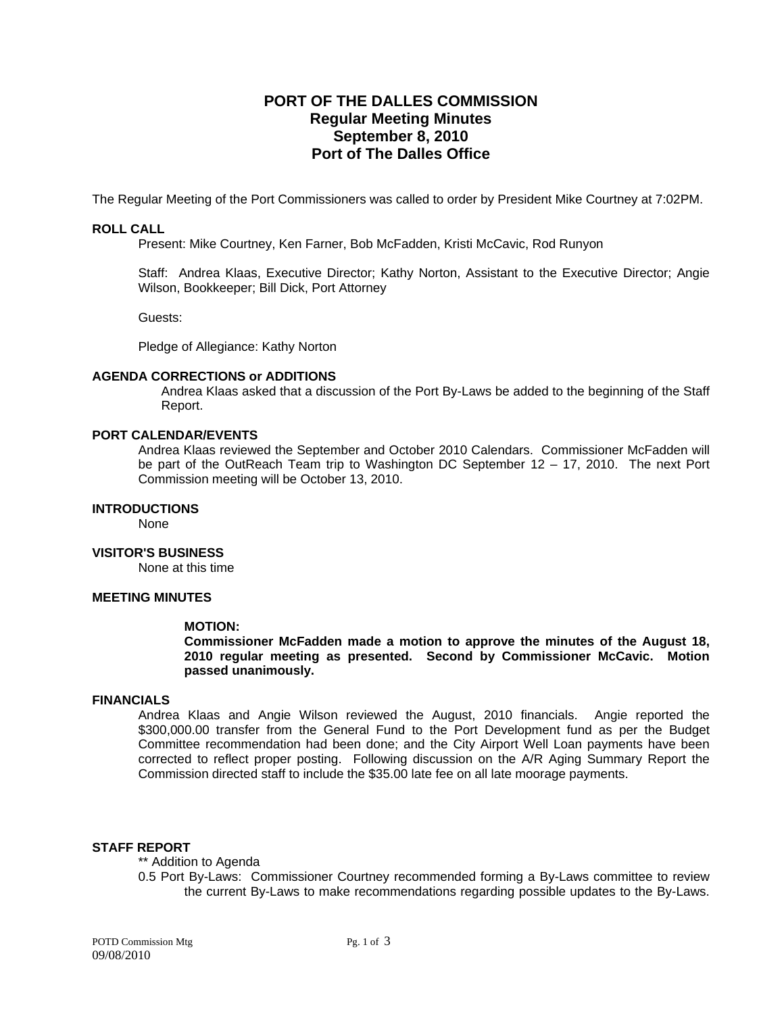# **PORT OF THE DALLES COMMISSION Regular Meeting Minutes September 8, 2010 Port of The Dalles Office**

The Regular Meeting of the Port Commissioners was called to order by President Mike Courtney at 7:02PM.

### **ROLL CALL**

Present: Mike Courtney, Ken Farner, Bob McFadden, Kristi McCavic, Rod Runyon

Staff: Andrea Klaas, Executive Director; Kathy Norton, Assistant to the Executive Director; Angie Wilson, Bookkeeper; Bill Dick, Port Attorney

Guests:

Pledge of Allegiance: Kathy Norton

### **AGENDA CORRECTIONS or ADDITIONS**

Andrea Klaas asked that a discussion of the Port By-Laws be added to the beginning of the Staff Report.

### **PORT CALENDAR/EVENTS**

Andrea Klaas reviewed the September and October 2010 Calendars. Commissioner McFadden will be part of the OutReach Team trip to Washington DC September 12 – 17, 2010. The next Port Commission meeting will be October 13, 2010.

### **INTRODUCTIONS**

None

### **VISITOR'S BUSINESS**

None at this time

# **MEETING MINUTES**

### **MOTION:**

**Commissioner McFadden made a motion to approve the minutes of the August 18, 2010 regular meeting as presented. Second by Commissioner McCavic. Motion passed unanimously.** 

### **FINANCIALS**

Andrea Klaas and Angie Wilson reviewed the August, 2010 financials. Angie reported the \$300,000.00 transfer from the General Fund to the Port Development fund as per the Budget Committee recommendation had been done; and the City Airport Well Loan payments have been corrected to reflect proper posting. Following discussion on the A/R Aging Summary Report the Commission directed staff to include the \$35.00 late fee on all late moorage payments.

### **STAFF REPORT**

### \*\* Addition to Agenda

0.5 Port By-Laws: Commissioner Courtney recommended forming a By-Laws committee to review the current By-Laws to make recommendations regarding possible updates to the By-Laws.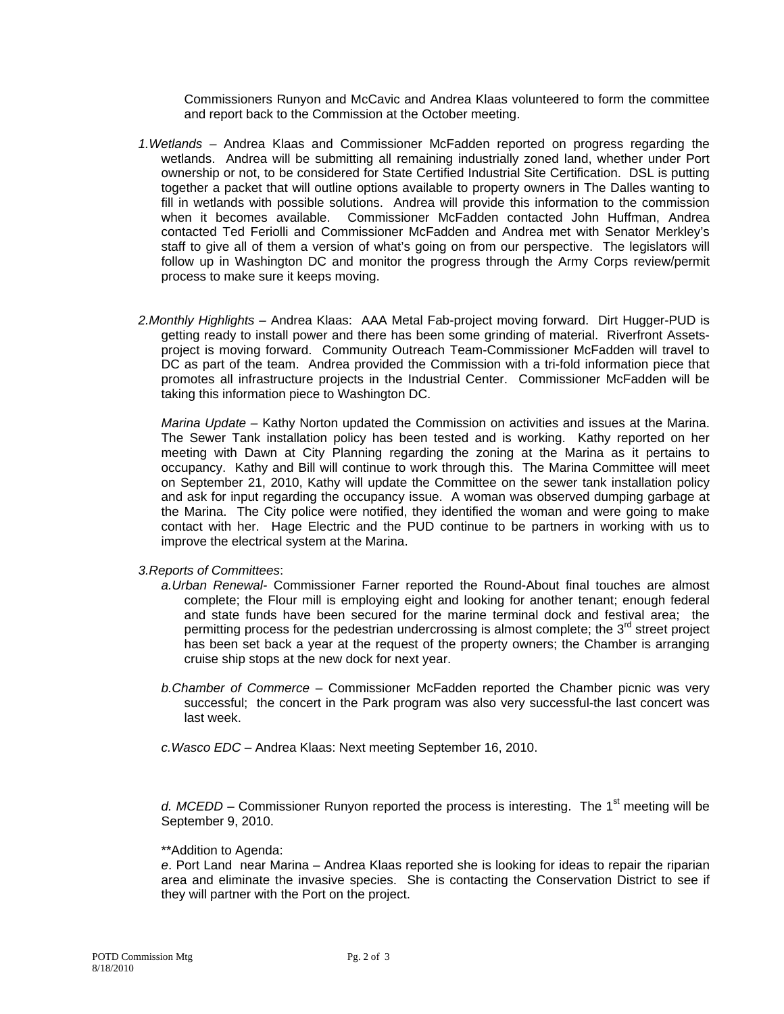Commissioners Runyon and McCavic and Andrea Klaas volunteered to form the committee and report back to the Commission at the October meeting.

- *1.Wetlands* Andrea Klaas and Commissioner McFadden reported on progress regarding the wetlands. Andrea will be submitting all remaining industrially zoned land, whether under Port ownership or not, to be considered for State Certified Industrial Site Certification. DSL is putting together a packet that will outline options available to property owners in The Dalles wanting to fill in wetlands with possible solutions. Andrea will provide this information to the commission when it becomes available. Commissioner McFadden contacted John Huffman, Andrea contacted Ted Feriolli and Commissioner McFadden and Andrea met with Senator Merkley's staff to give all of them a version of what's going on from our perspective. The legislators will follow up in Washington DC and monitor the progress through the Army Corps review/permit process to make sure it keeps moving.
- *2.Monthly Highlights* Andrea Klaas: AAA Metal Fab-project moving forward. Dirt Hugger-PUD is getting ready to install power and there has been some grinding of material. Riverfront Assetsproject is moving forward. Community Outreach Team-Commissioner McFadden will travel to DC as part of the team. Andrea provided the Commission with a tri-fold information piece that promotes all infrastructure projects in the Industrial Center. Commissioner McFadden will be taking this information piece to Washington DC.

*Marina Update –* Kathy Norton updated the Commission on activities and issues at the Marina. The Sewer Tank installation policy has been tested and is working. Kathy reported on her meeting with Dawn at City Planning regarding the zoning at the Marina as it pertains to occupancy. Kathy and Bill will continue to work through this. The Marina Committee will meet on September 21, 2010, Kathy will update the Committee on the sewer tank installation policy and ask for input regarding the occupancy issue. A woman was observed dumping garbage at the Marina. The City police were notified, they identified the woman and were going to make contact with her. Hage Electric and the PUD continue to be partners in working with us to improve the electrical system at the Marina.

*3.Reports of Committees*:

- *a.Urban Renewal-* Commissioner Farner reported the Round-About final touches are almost complete; the Flour mill is employing eight and looking for another tenant; enough federal and state funds have been secured for the marine terminal dock and festival area; the permitting process for the pedestrian undercrossing is almost complete; the  $3<sup>rd</sup>$  street project has been set back a year at the request of the property owners; the Chamber is arranging cruise ship stops at the new dock for next year.
- *b.Chamber of Commerce*  Commissioner McFadden reported the Chamber picnic was very successful; the concert in the Park program was also very successful-the last concert was last week.
- *c.Wasco EDC*  Andrea Klaas: Next meeting September 16, 2010.

*d. MCEDD* – Commissioner Runyon reported the process is interesting. The 1<sup>st</sup> meeting will be September 9, 2010.

\*\*Addition to Agenda:

*e*. Port Land near Marina – Andrea Klaas reported she is looking for ideas to repair the riparian area and eliminate the invasive species. She is contacting the Conservation District to see if they will partner with the Port on the project.